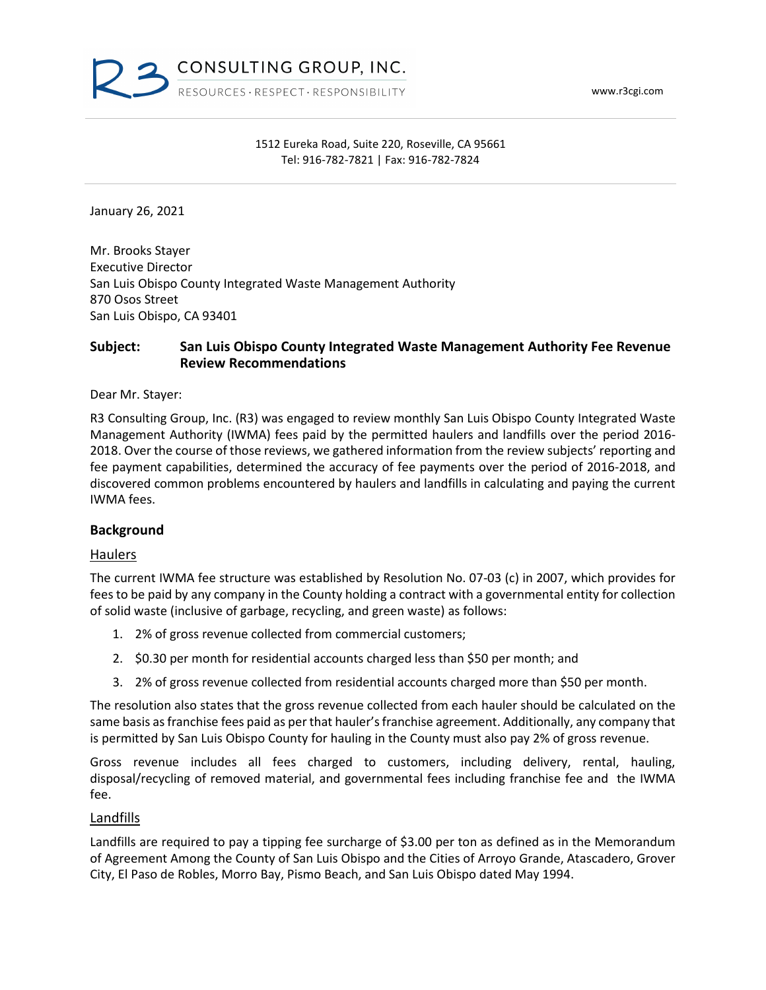www.r3cgi.com



### 1512 Eureka Road, Suite 220, Roseville, CA 95661 Tel: 916-782-7821 | Fax: 916-782-7824

January 26, 2021

Mr. Brooks Stayer Executive Director San Luis Obispo County Integrated Waste Management Authority 870 Osos Street San Luis Obispo, CA 93401

# **Subject: San Luis Obispo County Integrated Waste Management Authority Fee Revenue Review Recommendations**

Dear Mr. Stayer:

R3 Consulting Group, Inc. (R3) was engaged to review monthly San Luis Obispo County Integrated Waste Management Authority (IWMA) fees paid by the permitted haulers and landfills over the period 2016- 2018. Over the course of those reviews, we gathered information from the review subjects' reporting and fee payment capabilities, determined the accuracy of fee payments over the period of 2016-2018, and discovered common problems encountered by haulers and landfills in calculating and paying the current IWMA fees.

## **Background**

#### Haulers

The current IWMA fee structure was established by Resolution No. 07-03 (c) in 2007, which provides for fees to be paid by any company in the County holding a contract with a governmental entity for collection of solid waste (inclusive of garbage, recycling, and green waste) as follows:

- 1. 2% of gross revenue collected from commercial customers;
- 2. \$0.30 per month for residential accounts charged less than \$50 per month; and
- 3. 2% of gross revenue collected from residential accounts charged more than \$50 per month.

The resolution also states that the gross revenue collected from each hauler should be calculated on the same basis as franchise fees paid as per that hauler's franchise agreement. Additionally, any company that is permitted by San Luis Obispo County for hauling in the County must also pay 2% of gross revenue.

Gross revenue includes all fees charged to customers, including delivery, rental, hauling, disposal/recycling of removed material, and governmental fees including franchise fee and the IWMA fee.

#### **Landfills**

Landfills are required to pay a tipping fee surcharge of \$3.00 per ton as defined as in the Memorandum of Agreement Among the County of San Luis Obispo and the Cities of Arroyo Grande, Atascadero, Grover City, El Paso de Robles, Morro Bay, Pismo Beach, and San Luis Obispo dated May 1994.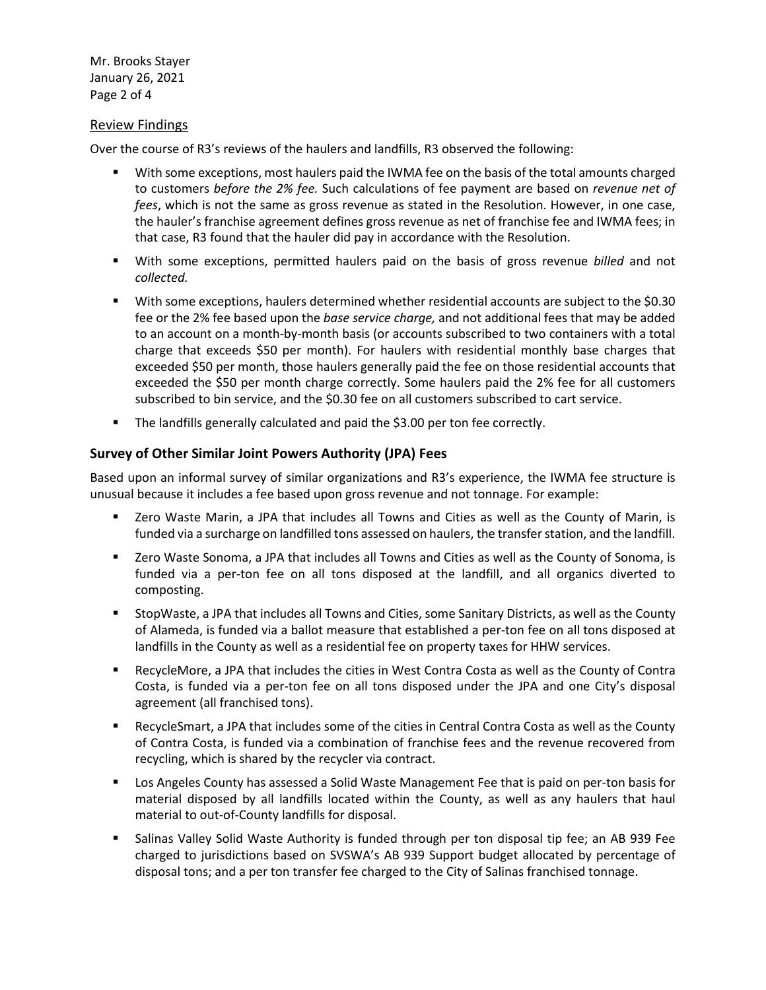Mr. Brooks Stayer January 26, 2021 Page 2 of 4

### Review Findings

Over the course of R3's reviews of the haulers and landfills, R3 observed the following:

- With some exceptions, most haulers paid the IWMA fee on the basis of the total amounts charged to customers *before the 2% fee.* Such calculations of fee payment are based on *revenue net of fees*, which is not the same as gross revenue as stated in the Resolution. However, in one case, the hauler's franchise agreement defines gross revenue as net of franchise fee and IWMA fees; in that case, R3 found that the hauler did pay in accordance with the Resolution.
- With some exceptions, permitted haulers paid on the basis of gross revenue *billed* and not *collected.*
- With some exceptions, haulers determined whether residential accounts are subject to the \$0.30 fee or the 2% fee based upon the *base service charge,* and not additional fees that may be added to an account on a month-by-month basis (or accounts subscribed to two containers with a total charge that exceeds \$50 per month). For haulers with residential monthly base charges that exceeded \$50 per month, those haulers generally paid the fee on those residential accounts that exceeded the \$50 per month charge correctly. Some haulers paid the 2% fee for all customers subscribed to bin service, and the \$0.30 fee on all customers subscribed to cart service.
- The landfills generally calculated and paid the \$3.00 per ton fee correctly.

# **Survey of Other Similar Joint Powers Authority (JPA) Fees**

Based upon an informal survey of similar organizations and R3's experience, the IWMA fee structure is unusual because it includes a fee based upon gross revenue and not tonnage. For example:

- Zero Waste Marin, a JPA that includes all Towns and Cities as well as the County of Marin, is funded via a surcharge on landfilled tons assessed on haulers, the transfer station, and the landfill.
- Zero Waste Sonoma, a JPA that includes all Towns and Cities as well as the County of Sonoma, is funded via a per-ton fee on all tons disposed at the landfill, and all organics diverted to composting.
- **StopWaste, a JPA that includes all Towns and Cities, some Sanitary Districts, as well as the County** of Alameda, is funded via a ballot measure that established a per-ton fee on all tons disposed at landfills in the County as well as a residential fee on property taxes for HHW services.
- RecycleMore, a JPA that includes the cities in West Contra Costa as well as the County of Contra Costa, is funded via a per-ton fee on all tons disposed under the JPA and one City's disposal agreement (all franchised tons).
- RecycleSmart, a JPA that includes some of the cities in Central Contra Costa as well as the County of Contra Costa, is funded via a combination of franchise fees and the revenue recovered from recycling, which is shared by the recycler via contract.
- **Los Angeles County has assessed a Solid Waste Management Fee that is paid on per-ton basis for** material disposed by all landfills located within the County, as well as any haulers that haul material to out-of-County landfills for disposal.
- Salinas Valley Solid Waste Authority is funded through per ton disposal tip fee; an AB 939 Fee charged to jurisdictions based on SVSWA's AB 939 Support budget allocated by percentage of disposal tons; and a per ton transfer fee charged to the City of Salinas franchised tonnage.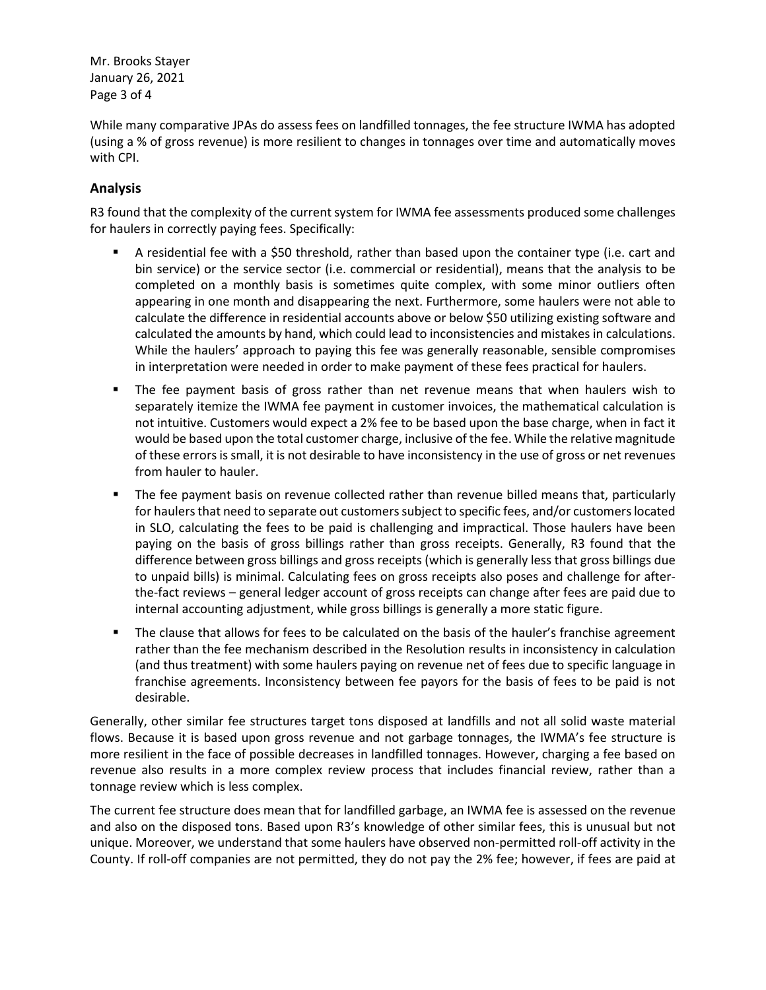Mr. Brooks Stayer January 26, 2021 Page 3 of 4

While many comparative JPAs do assess fees on landfilled tonnages, the fee structure IWMA has adopted (using a % of gross revenue) is more resilient to changes in tonnages over time and automatically moves with CPI.

# **Analysis**

R3 found that the complexity of the current system for IWMA fee assessments produced some challenges for haulers in correctly paying fees. Specifically:

- A residential fee with a \$50 threshold, rather than based upon the container type (i.e. cart and bin service) or the service sector (i.e. commercial or residential), means that the analysis to be completed on a monthly basis is sometimes quite complex, with some minor outliers often appearing in one month and disappearing the next. Furthermore, some haulers were not able to calculate the difference in residential accounts above or below \$50 utilizing existing software and calculated the amounts by hand, which could lead to inconsistencies and mistakes in calculations. While the haulers' approach to paying this fee was generally reasonable, sensible compromises in interpretation were needed in order to make payment of these fees practical for haulers.
- **The fee payment basis of gross rather than net revenue means that when haulers wish to** separately itemize the IWMA fee payment in customer invoices, the mathematical calculation is not intuitive. Customers would expect a 2% fee to be based upon the base charge, when in fact it would be based upon the total customer charge, inclusive of the fee. While the relative magnitude of these errors is small, it is not desirable to have inconsistency in the use of gross or net revenues from hauler to hauler.
- The fee payment basis on revenue collected rather than revenue billed means that, particularly for haulers that need to separate out customers subject to specific fees, and/or customers located in SLO, calculating the fees to be paid is challenging and impractical. Those haulers have been paying on the basis of gross billings rather than gross receipts. Generally, R3 found that the difference between gross billings and gross receipts (which is generally less that gross billings due to unpaid bills) is minimal. Calculating fees on gross receipts also poses and challenge for afterthe-fact reviews – general ledger account of gross receipts can change after fees are paid due to internal accounting adjustment, while gross billings is generally a more static figure.
- The clause that allows for fees to be calculated on the basis of the hauler's franchise agreement rather than the fee mechanism described in the Resolution results in inconsistency in calculation (and thus treatment) with some haulers paying on revenue net of fees due to specific language in franchise agreements. Inconsistency between fee payors for the basis of fees to be paid is not desirable.

Generally, other similar fee structures target tons disposed at landfills and not all solid waste material flows. Because it is based upon gross revenue and not garbage tonnages, the IWMA's fee structure is more resilient in the face of possible decreases in landfilled tonnages. However, charging a fee based on revenue also results in a more complex review process that includes financial review, rather than a tonnage review which is less complex.

The current fee structure does mean that for landfilled garbage, an IWMA fee is assessed on the revenue and also on the disposed tons. Based upon R3's knowledge of other similar fees, this is unusual but not unique. Moreover, we understand that some haulers have observed non-permitted roll-off activity in the County. If roll-off companies are not permitted, they do not pay the 2% fee; however, if fees are paid at